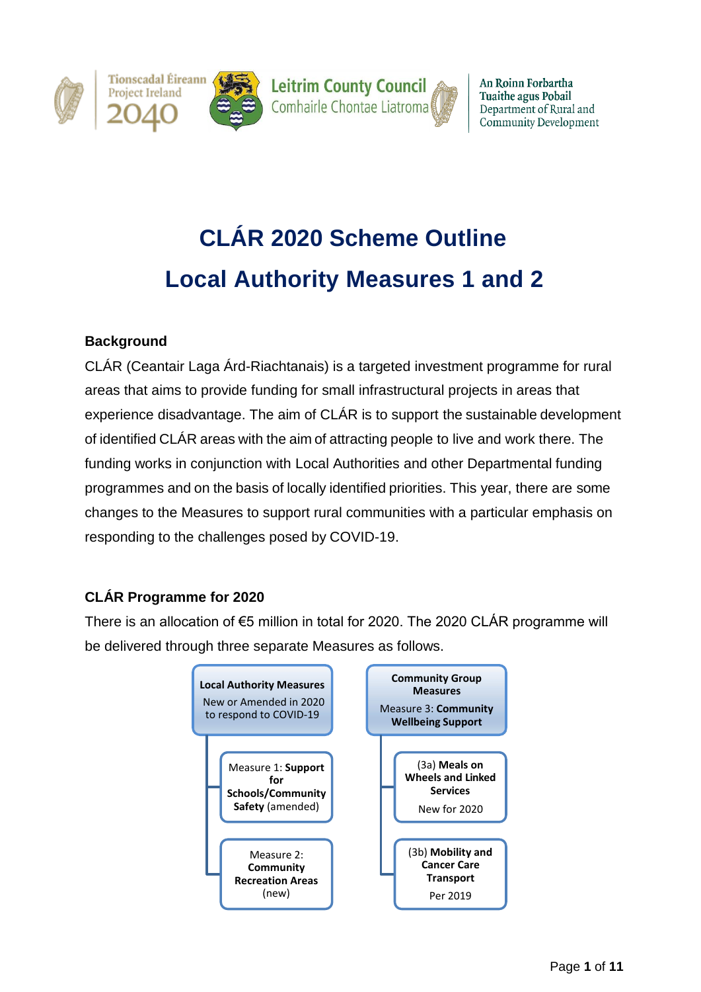

An Roinn Forbartha **Tuaithe agus Pobail** Department of Rural and **Community Development** 

# **CLÁR 2020 Scheme Outline Local Authority Measures 1 and 2**

## **Background**

CLÁR (Ceantair Laga Árd-Riachtanais) is a targeted investment programme for rural areas that aims to provide funding for small infrastructural projects in areas that experience disadvantage. The aim of CLÁR is to support the sustainable development of identified CLÁR areas with the aim of attracting people to live and work there. The funding works in conjunction with Local Authorities and other Departmental funding programmes and on the basis of locally identified priorities. This year, there are some changes to the Measures to support rural communities with a particular emphasis on responding to the challenges posed by COVID-19.

## **CLÁR Programme for 2020**

There is an allocation of €5 million in total for 2020. The 2020 CLÁR programme will be delivered through three separate Measures as follows.

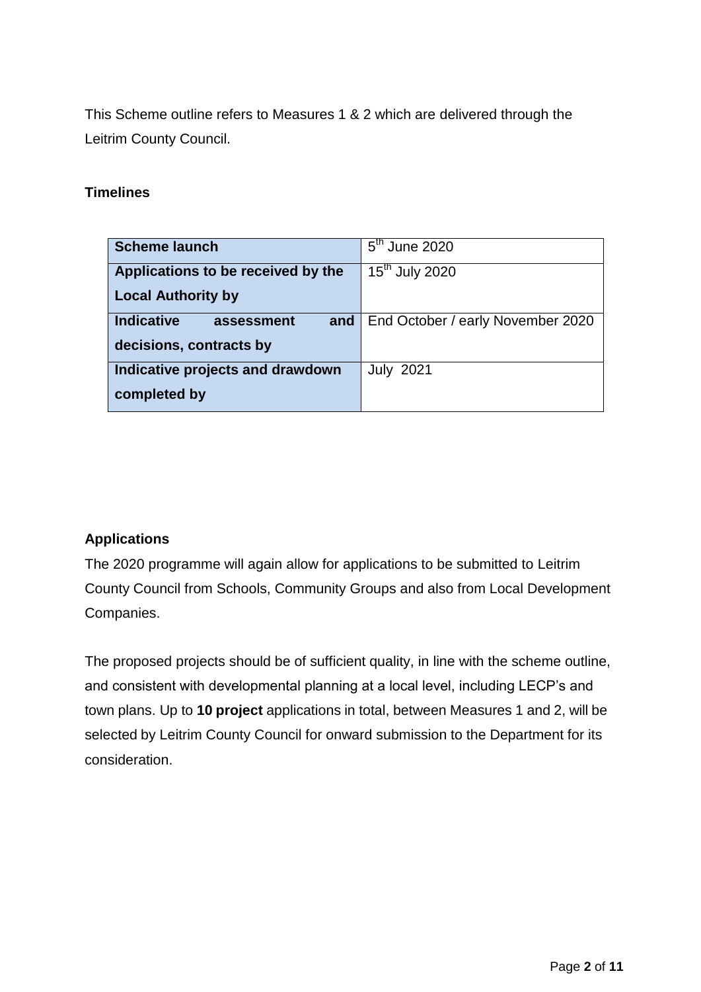This Scheme outline refers to Measures 1 & 2 which are delivered through the Leitrim County Council.

## **Timelines**

| <b>Scheme launch</b>                   | $5th$ June 2020                         |
|----------------------------------------|-----------------------------------------|
| Applications to be received by the     | $\overline{15}$ <sup>th</sup> July 2020 |
| <b>Local Authority by</b>              |                                         |
| <b>Indicative</b><br>assessment<br>and | End October / early November 2020       |
| decisions, contracts by                |                                         |
| Indicative projects and drawdown       | <b>July 2021</b>                        |
| completed by                           |                                         |

## **Applications**

The 2020 programme will again allow for applications to be submitted to Leitrim County Council from Schools, Community Groups and also from Local Development Companies.

The proposed projects should be of sufficient quality, in line with the scheme outline, and consistent with developmental planning at a local level, including LECP's and town plans. Up to **10 project** applications in total, between Measures 1 and 2, will be selected by Leitrim County Council for onward submission to the Department for its consideration.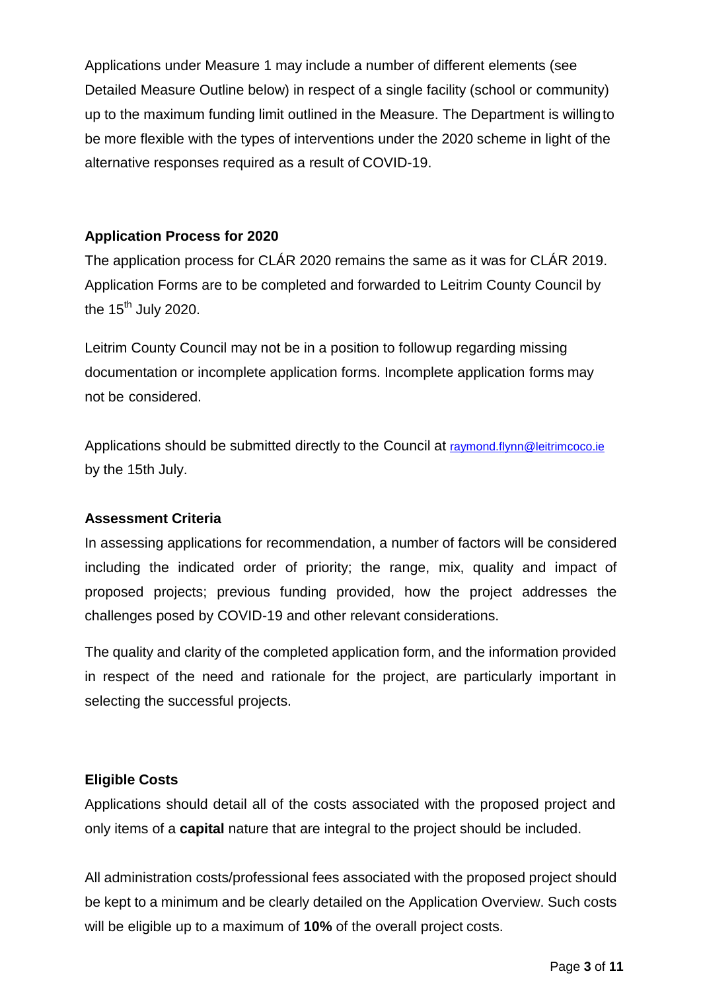Applications under Measure 1 may include a number of different elements (see Detailed Measure Outline below) in respect of a single facility (school or community) up to the maximum funding limit outlined in the Measure. The Department is willingto be more flexible with the types of interventions under the 2020 scheme in light of the alternative responses required as a result of COVID-19.

## **Application Process for 2020**

The application process for CLÁR 2020 remains the same as it was for CLÁR 2019. Application Forms are to be completed and forwarded to Leitrim County Council by the  $15<sup>th</sup>$  July 2020.

Leitrim County Council may not be in a position to followup regarding missing documentation or incomplete application forms. Incomplete application forms may not be considered.

Applications should be submitted directly to the Council at [raymond.flynn@leitrimcoco.ie](mailto:raymond.flynn@leitrimcoco.ie) by the 15th July.

## **Assessment Criteria**

In assessing applications for recommendation, a number of factors will be considered including the indicated order of priority; the range, mix, quality and impact of proposed projects; previous funding provided, how the project addresses the challenges posed by COVID-19 and other relevant considerations.

The quality and clarity of the completed application form, and the information provided in respect of the need and rationale for the project, are particularly important in selecting the successful projects.

### **Eligible Costs**

Applications should detail all of the costs associated with the proposed project and only items of a **capital** nature that are integral to the project should be included.

All administration costs/professional fees associated with the proposed project should be kept to a minimum and be clearly detailed on the Application Overview. Such costs will be eligible up to a maximum of **10%** of the overall project costs.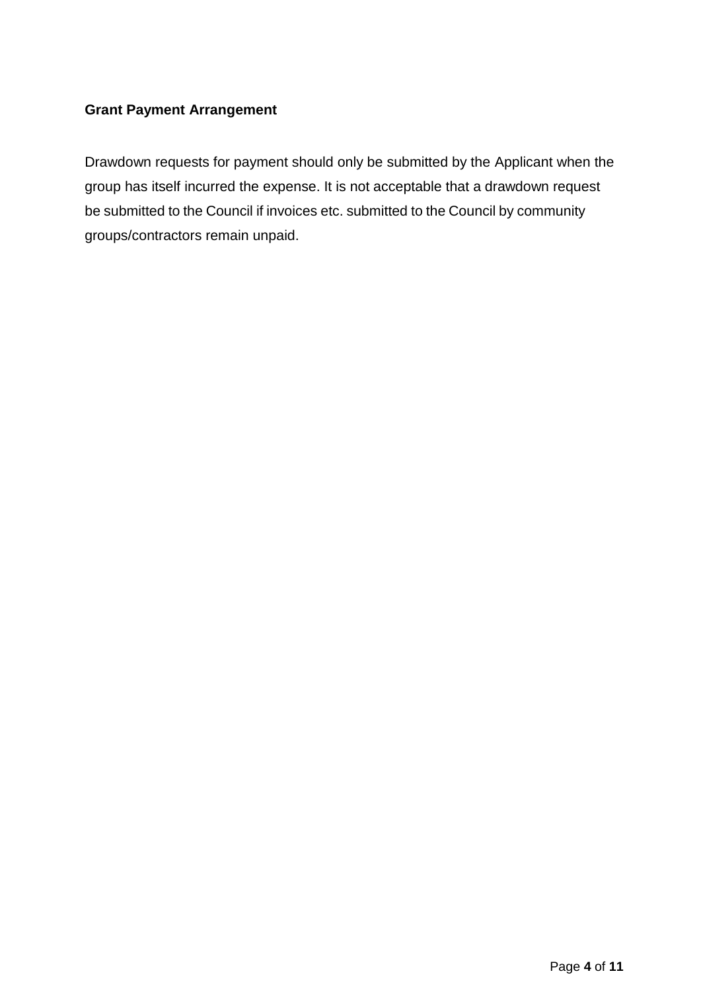## **Grant Payment Arrangement**

Drawdown requests for payment should only be submitted by the Applicant when the group has itself incurred the expense. It is not acceptable that a drawdown request be submitted to the Council if invoices etc. submitted to the Council by community groups/contractors remain unpaid.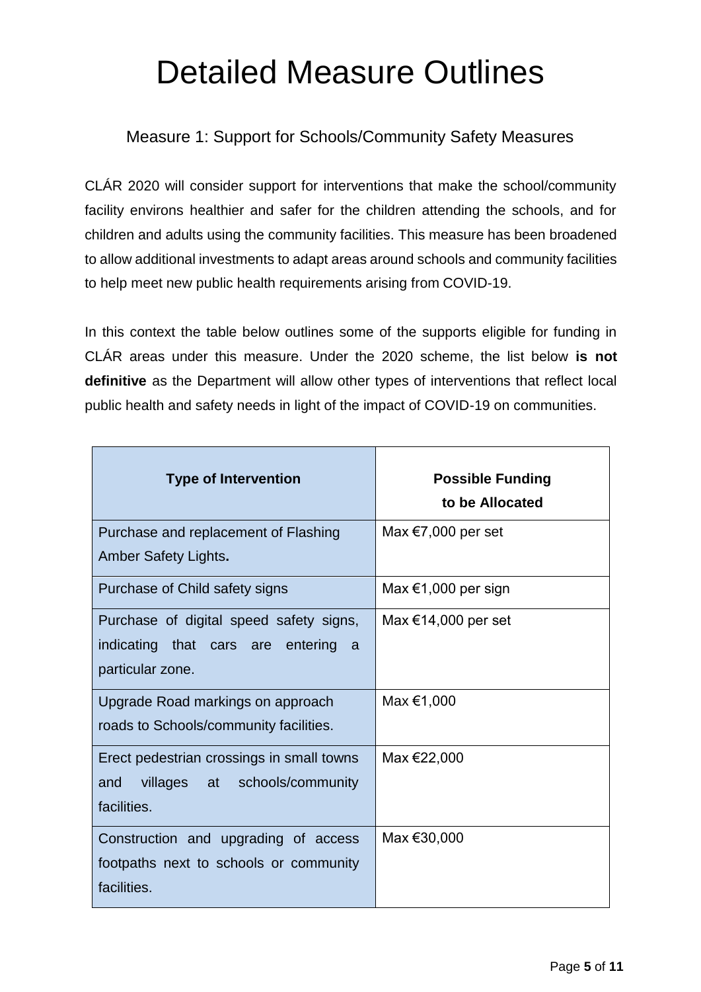# Detailed Measure Outlines

# Measure 1: Support for Schools/Community Safety Measures

CLÁR 2020 will consider support for interventions that make the school/community facility environs healthier and safer for the children attending the schools, and for children and adults using the community facilities. This measure has been broadened to allow additional investments to adapt areas around schools and community facilities to help meet new public health requirements arising from COVID-19.

In this context the table below outlines some of the supports eligible for funding in CLÁR areas under this measure. Under the 2020 scheme, the list below **is not definitive** as the Department will allow other types of interventions that reflect local public health and safety needs in light of the impact of COVID-19 on communities.

| <b>Type of Intervention</b>               | <b>Possible Funding</b><br>to be Allocated |
|-------------------------------------------|--------------------------------------------|
| Purchase and replacement of Flashing      | Max $\epsilon$ 7,000 per set               |
| Amber Safety Lights.                      |                                            |
| Purchase of Child safety signs            | Max $\epsilon$ 1,000 per sign              |
| Purchase of digital speed safety signs,   | Max $€14,000$ per set                      |
| indicating that cars are entering<br>a    |                                            |
| particular zone.                          |                                            |
| Upgrade Road markings on approach         | Max €1,000                                 |
| roads to Schools/community facilities.    |                                            |
| Erect pedestrian crossings in small towns | Max €22,000                                |
| villages at schools/community<br>and      |                                            |
| facilities.                               |                                            |
| Construction and upgrading of access      | Max €30,000                                |
| footpaths next to schools or community    |                                            |
| facilities.                               |                                            |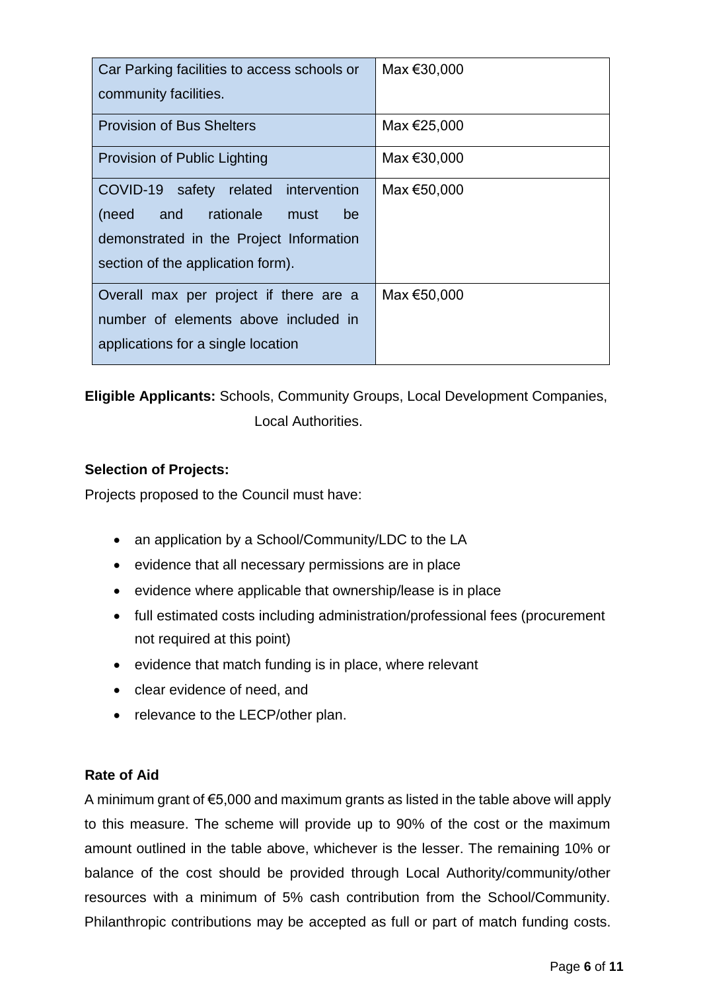| Car Parking facilities to access schools or<br>community facilities.                                                                                            | Max €30,000 |
|-----------------------------------------------------------------------------------------------------------------------------------------------------------------|-------------|
| <b>Provision of Bus Shelters</b>                                                                                                                                | Max €25,000 |
| Provision of Public Lighting                                                                                                                                    | Max €30,000 |
| COVID-19 safety related intervention<br>rationale<br>and<br>be<br>(need<br>must<br>demonstrated in the Project Information<br>section of the application form). | Max €50,000 |
| Overall max per project if there are a<br>number of elements above included in<br>applications for a single location                                            | Max €50,000 |

**Eligible Applicants:** Schools, Community Groups, Local Development Companies,

Local Authorities.

## **Selection of Projects:**

Projects proposed to the Council must have:

- an application by a School/Community/LDC to the LA
- evidence that all necessary permissions are in place
- evidence where applicable that ownership/lease is in place
- full estimated costs including administration/professional fees (procurement not required at this point)
- $\bullet$  evidence that match funding is in place, where relevant
- clear evidence of need, and
- relevance to the LECP/other plan.

## **Rate of Aid**

A minimum grant of €5,000 and maximum grants as listed in the table above will apply to this measure. The scheme will provide up to 90% of the cost or the maximum amount outlined in the table above, whichever is the lesser. The remaining 10% or balance of the cost should be provided through Local Authority/community/other resources with a minimum of 5% cash contribution from the School/Community. Philanthropic contributions may be accepted as full or part of match funding costs.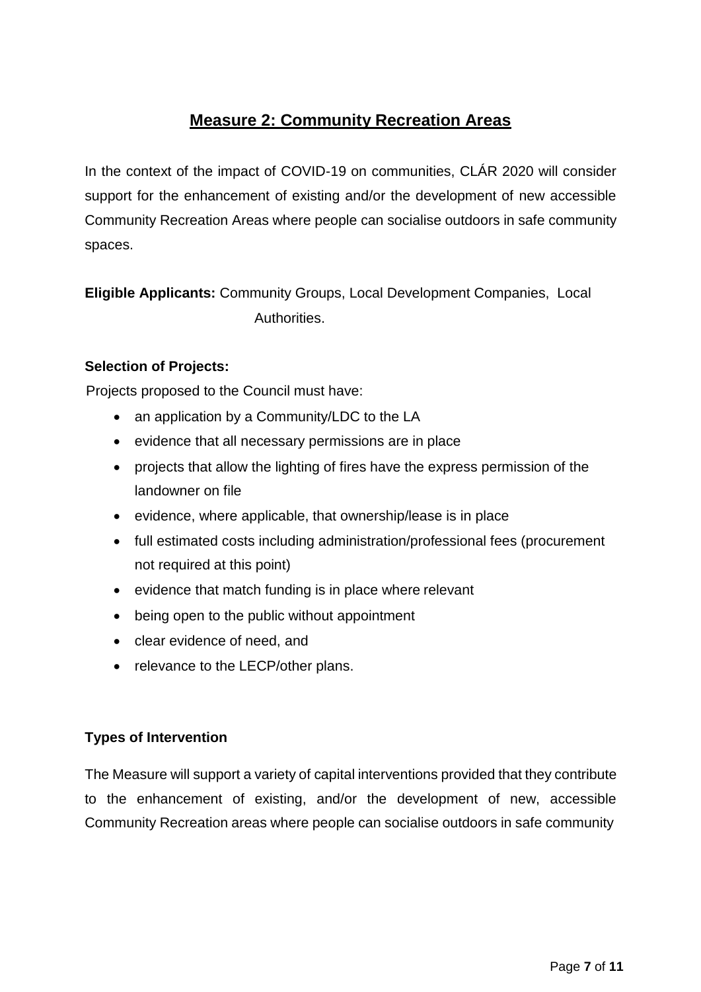# **Measure 2: Community Recreation Areas**

In the context of the impact of COVID-19 on communities, CLÁR 2020 will consider support for the enhancement of existing and/or the development of new accessible Community Recreation Areas where people can socialise outdoors in safe community spaces.

**Eligible Applicants:** Community Groups, Local Development Companies, Local Authorities.

## **Selection of Projects:**

Projects proposed to the Council must have:

- an application by a Community/LDC to the LA
- evidence that all necessary permissions are in place
- projects that allow the lighting of fires have the express permission of the landowner on file
- evidence, where applicable, that ownership/lease is in place
- full estimated costs including administration/professional fees (procurement not required at this point)
- evidence that match funding is in place where relevant
- being open to the public without appointment
- clear evidence of need, and
- relevance to the LECP/other plans.

## **Types of Intervention**

The Measure will support a variety of capital interventions provided that they contribute to the enhancement of existing, and/or the development of new, accessible Community Recreation areas where people can socialise outdoors in safe community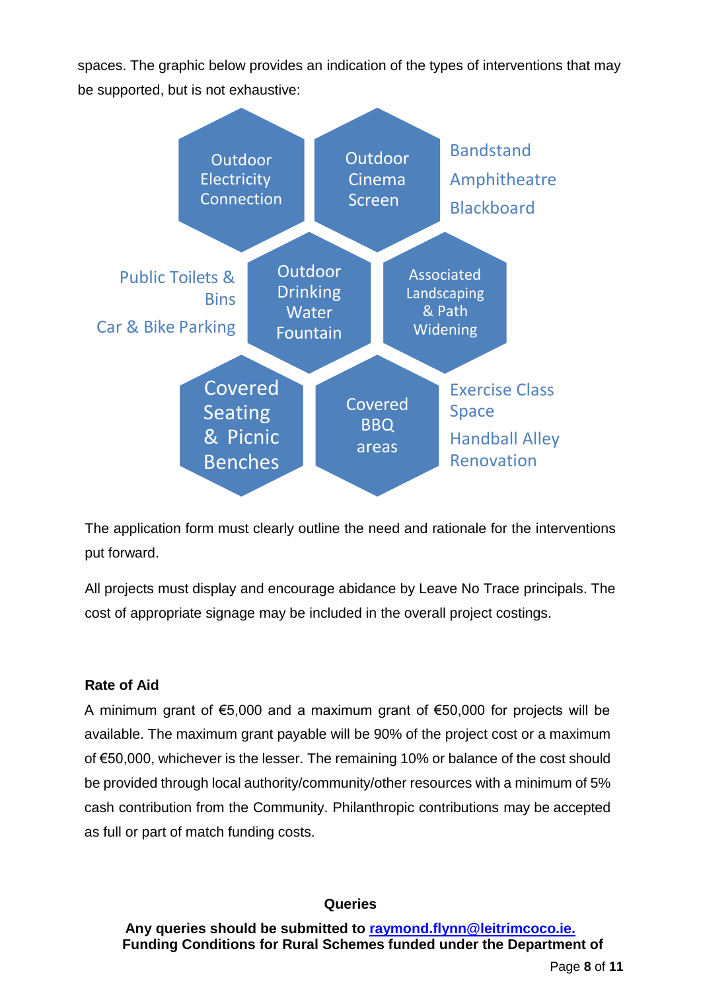spaces. The graphic below provides an indication of the types of interventions that may be supported, but is not exhaustive:



The application form must clearly outline the need and rationale for the interventions put forward.

All projects must display and encourage abidance by Leave No Trace principals. The cost of appropriate signage may be included in the overall project costings.

## **Rate of Aid**

A minimum grant of €5,000 and a maximum grant of €50,000 for projects will be available. The maximum grant payable will be 90% of the project cost or a maximum of €50,000, whichever is the lesser. The remaining 10% or balance of the cost should be provided through local authority/community/other resources with a minimum of 5% cash contribution from the Community. Philanthropic contributions may be accepted as full or part of match funding costs.

#### **Queries**

**Any queries should be submitted to [raymond.flynn@leitrimcoco.ie.](mailto:raymond.flynn@leitrimcoco.ie.) Funding Conditions for Rural Schemes funded under the Department of**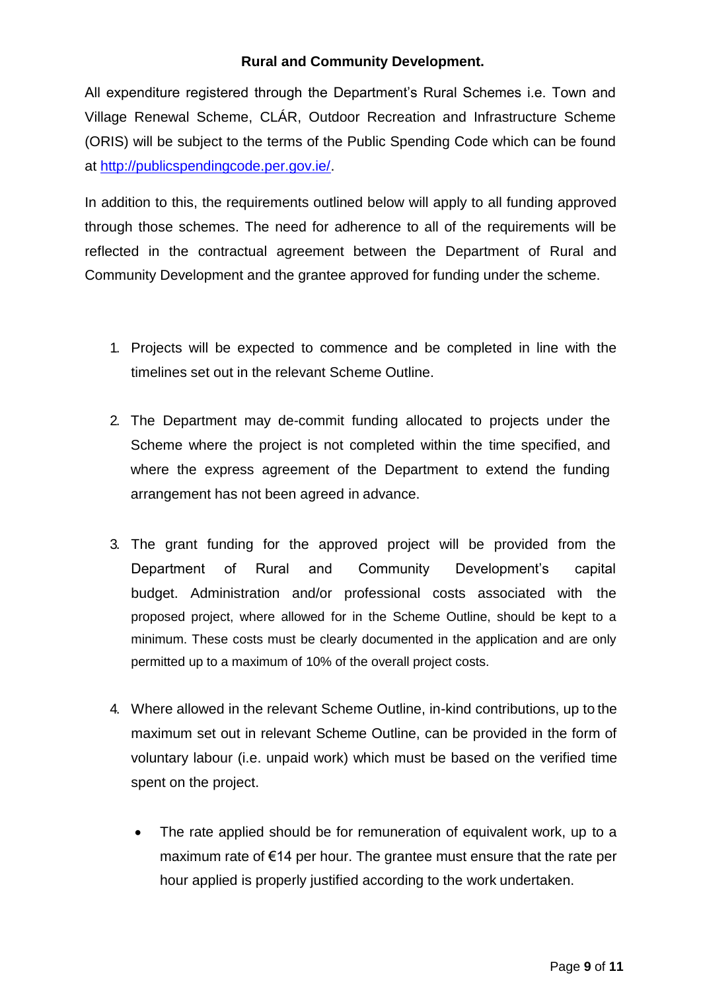## **Rural and Community Development.**

All expenditure registered through the Department's Rural Schemes i.e. Town and Village Renewal Scheme, CLÁR, Outdoor Recreation and Infrastructure Scheme (ORIS) will be subject to the terms of the Public Spending Code which can be found at [http://publicspendingcode.per.gov.ie/.](http://publicspendingcode.per.gov.ie/)

In addition to this, the requirements outlined below will apply to all funding approved through those schemes. The need for adherence to all of the requirements will be reflected in the contractual agreement between the Department of Rural and Community Development and the grantee approved for funding under the scheme.

- 1. Projects will be expected to commence and be completed in line with the timelines set out in the relevant Scheme Outline.
- 2. The Department may de-commit funding allocated to projects under the Scheme where the project is not completed within the time specified, and where the express agreement of the Department to extend the funding arrangement has not been agreed in advance.
- 3. The grant funding for the approved project will be provided from the Department of Rural and Community Development's capital budget. Administration and/or professional costs associated with the proposed project, where allowed for in the Scheme Outline, should be kept to a minimum. These costs must be clearly documented in the application and are only permitted up to a maximum of 10% of the overall project costs.
- 4. Where allowed in the relevant Scheme Outline, in-kind contributions, up to the maximum set out in relevant Scheme Outline, can be provided in the form of voluntary labour (i.e. unpaid work) which must be based on the verified time spent on the project.
	- The rate applied should be for remuneration of equivalent work, up to a maximum rate of €14 per hour. The grantee must ensure that the rate per hour applied is properly justified according to the work undertaken.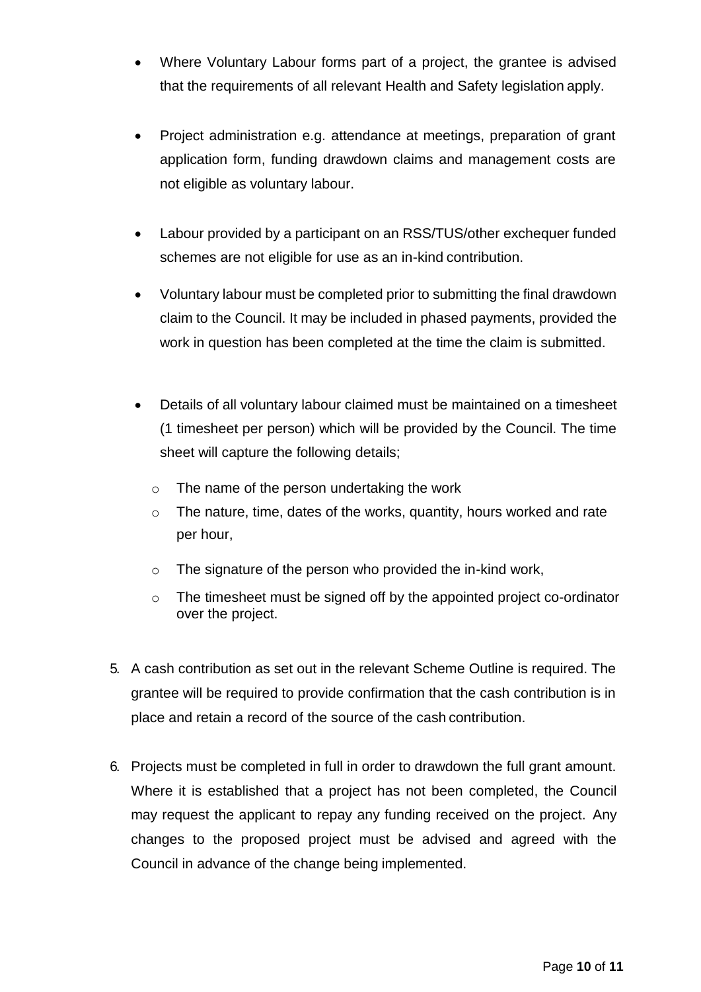- Where Voluntary Labour forms part of a project, the grantee is advised that the requirements of all relevant Health and Safety legislation apply.
- Project administration e.g. attendance at meetings, preparation of grant application form, funding drawdown claims and management costs are not eligible as voluntary labour.
- Labour provided by a participant on an RSS/TUS/other exchequer funded schemes are not eligible for use as an in-kind contribution.
- Voluntary labour must be completed prior to submitting the final drawdown claim to the Council. It may be included in phased payments, provided the work in question has been completed at the time the claim is submitted.
- Details of all voluntary labour claimed must be maintained on a timesheet (1 timesheet per person) which will be provided by the Council. The time sheet will capture the following details;
	- o The name of the person undertaking the work
	- $\circ$  The nature, time, dates of the works, quantity, hours worked and rate per hour,
	- o The signature of the person who provided the in-kind work,
	- o The timesheet must be signed off by the appointed project co-ordinator over the project.
- 5. A cash contribution as set out in the relevant Scheme Outline is required. The grantee will be required to provide confirmation that the cash contribution is in place and retain a record of the source of the cash contribution.
- 6. Projects must be completed in full in order to drawdown the full grant amount. Where it is established that a project has not been completed, the Council may request the applicant to repay any funding received on the project. Any changes to the proposed project must be advised and agreed with the Council in advance of the change being implemented.